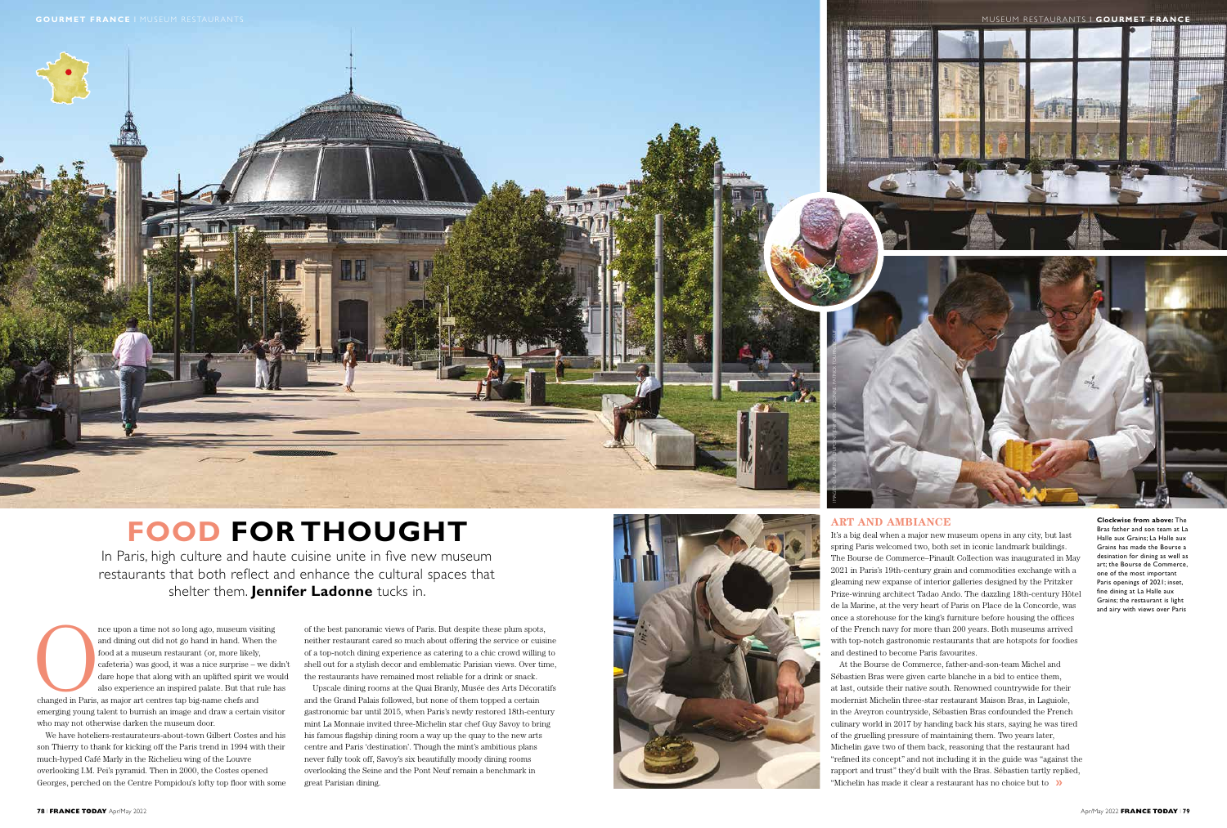







In Paris, high culture and haute cuisine unite in five new museum restaurants that both reflect and enhance the cultural spaces that shelter them. **Jennifer Ladonne** tucks in.

nce upon a time not so long ago, museum visiting<br>and dining out did not go hand in hand. When the<br>food at a museum restaurant (or, more likely,<br>cafeteria) was good, it was a nice surprise – we di<br>dare hope that along with and dining out did not go hand in hand. When the food at a museum restaurant (or, more likely, cafeteria) was good, it was a nice surprise – we didn't dare hope that along with an uplifted spirit we would also experience an inspired palate. But that rule has changed in Paris, as major art centres tap big-name chefs and

emerging young talent to burnish an image and draw a certain visitor who may not otherwise darken the museum door.

We have hoteliers-restaurateurs-about-town Gilbert Costes and his son Thierry to thank for kicking off the Paris trend in 1994 with their much-hyped Café Marly in the Richelieu wing of the Louvre overlooking I.M. Pei's pyramid. Then in 2000, the Costes opened Georges, perched on the Centre Pompidou's lofty top floor with some of the best panoramic views of Paris. But despite these plum spots, neither restaurant cared so much about offering the service or cuisine of a top-notch dining experience as catering to a chic crowd willing to shell out for a stylish decor and emblematic Parisian views. Over time, the restaurants have remained most reliable for a drink or snack.

"Michelin has made it clear a restaurant has no choice but to >>> At the Bourse de Commerce, father-and-son-team Michel and Sébastien Bras were given carte blanche in a bid to entice them, at last, outside their native south. Renowned countrywide for their modernist Michelin three-star restaurant Maison Bras, in Laguiole, in the Aveyron countryside, Sébastien Bras confounded the French culinary world in 2017 by handing back his stars, saying he was tired of the gruelling pressure of maintaining them. Two years later, Michelin gave two of them back, reasoning that the restaurant had "refined its concept" and not including it in the guide was "against the rapport and trust" they'd built with the Bras. Sébastien tartly replied,

Upscale dining rooms at the Quai Branly, Musée des Arts Décoratifs and the Grand Palais followed, but none of them topped a certain gastronomic bar until 2015, when Paris's newly restored 18th-century mint La Monnaie invited three-Michelin star chef Guy Savoy to bring his famous flagship dining room a way up the quay to the new arts centre and Paris 'destination'. Though the mint's ambitious plans never fully took off, Savoy's six beautifully moody dining rooms overlooking the Seine and the Pont Neuf remain a benchmark in great Parisian dining.

# **ART AND AMBIANCE**

It's a big deal when a major new museum opens in any city, but last spring Paris welcomed two, both set in iconic landmark buildings. The Bourse de Commerce–Pinault Collection was inaugurated in May 2021 in Paris's 19th-century grain and commodities exchange with a gleaming new expanse of interior galleries designed by the Pritzker Prize-winning architect Tadao Ando. The dazzling 18th-century Hôtel de la Marine, at the very heart of Paris on Place de la Concorde, was once a storehouse for the king's furniture before housing the offices of the French navy for more than 200 years. Both museums arrived with top-notch gastronomic restaurants that are hotspots for foodies and destined to become Paris favourites.

**Clockwise from above:** The Bras father and son team at La Halle aux Grains; La Halle aux Grains has made the Bourse a desination for dining as well as art; the Bourse de Commerce, one of the most important Paris openings of 2021; inset, fine dining at La Halle aux Grains; the restaurant is light and airy with views over Paris

IMAGES © LAURENT DUPONT, JENNIFER LADONNE, PATRICK TOURNEBOEUF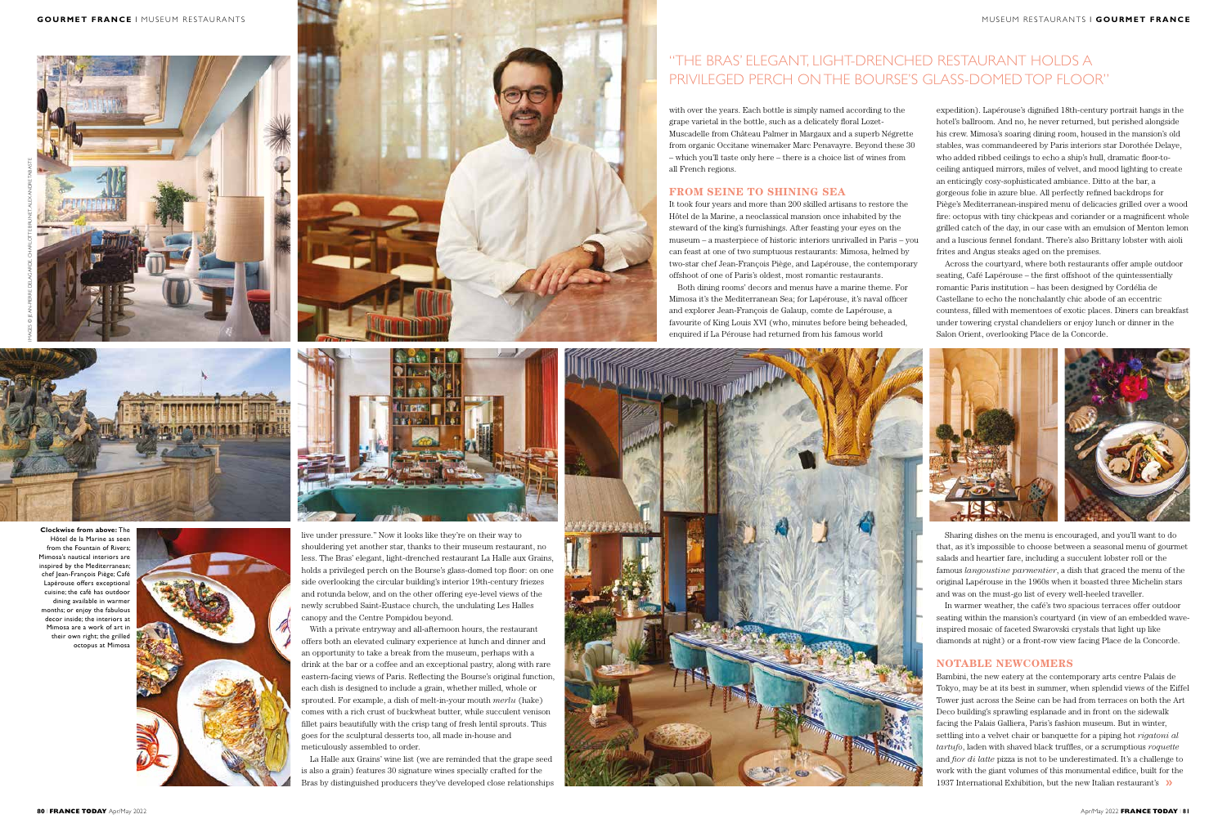



**Clockwise from above:** The Hôtel de la Marine as seen from the Fountain of Rivers; Mimosa's nautical interiors are inspired by the Mediterranean; chef Jean-François Piège; Café Lapérouse offers exceptional cuisine; the café has outdoor dining available in warmer months; or enjoy the fabulous decor inside; the interiors at Mimosa are a work of art in their own right; the grilled octopus at Mimosa



with over the years. Each bottle is simply named according to the grape varietal in the bottle, such as a delicately floral Lozet-Muscadelle from Château Palmer in Margaux and a superb Négrette from organic Occitane winemaker Marc Penavayre. Beyond these 30 – which you'll taste only here – there is a choice list of wines from all French regions.

# **FROM SEINE TO SHINING SEA**

It took four years and more than 200 skilled artisans to restore the Hôtel de la Marine, a neoclassical mansion once inhabited by the steward of the king's furnishings. After feasting your eyes on the museum – a masterpiece of historic interiors unrivalled in Paris – you can feast at one of two sumptuous restaurants: Mimosa, helmed by two-star chef Jean-François Piège, and Lapérouse, the contemporary offshoot of one of Paris's oldest, most romantic restaurants.

Both dining rooms' decors and menus have a marine theme. For Mimosa it's the Mediterranean Sea; for Lapérouse, it's naval officer and explorer Jean-François de Galaup, comte de Lapérouse, a favourite of King Louis XVI (who, minutes before being beheaded, enquired if La Pérouse had returned from his famous world





live under pressure." Now it looks like they're on their way to shouldering yet another star, thanks to their museum restaurant, no less. The Bras' elegant, light-drenched restaurant La Halle aux Grains, holds a privileged perch on the Bourse's glass-domed top floor: on one side overlooking the circular building's interior 19th-century friezes and rotunda below, and on the other offering eye-level views of the newly scrubbed Saint-Eustace church, the undulating Les Halles canopy and the Centre Pompidou beyond.

With a private entryway and all-afternoon hours, the restaurant offers both an elevated culinary experience at lunch and dinner and an opportunity to take a break from the museum, perhaps with a drink at the bar or a coffee and an exceptional pastry, along with rare eastern-facing views of Paris. Reflecting the Bourse's original function, each dish is designed to include a grain, whether milled, whole or sprouted. For example, a dish of melt-in-your mouth *merlu* (hake) comes with a rich crust of buckwheat butter, while succulent venison fillet pairs beautifully with the crisp tang of fresh lentil sprouts. This goes for the sculptural desserts too, all made in-house and meticulously assembled to order.

1937 International Exhibition, but the new Italian restaurant's >>> Bambini, the new eatery at the contemporary arts centre Palais de Tokyo, may be at its best in summer, when splendid views of the Eiffel Tower just across the Seine can be had from terraces on both the Art Deco building's sprawling esplanade and in front on the sidewalk facing the Palais Galliera, Paris's fashion museum. But in winter, settling into a velvet chair or banquette for a piping hot *rigatoni al tartufo*, laden with shaved black truffles, or a scrumptious *roquette*  and *fior di latte* pizza is not to be underestimated. It's a challenge to work with the giant volumes of this monumental edifice, built for the

La Halle aux Grains' wine list (we are reminded that the grape seed is also a grain) features 30 signature wines specially crafted for the Bras by distinguished producers they've developed close relationships







# "THE BRAS' ELEGANT, LIGHT-DRENCHED RESTAURANT HOLDS A PRIVILEGED PERCH ON THE BOURSE'S GLASS-DOMED TOP FLOOR"

expedition). Lapérouse's dignified 18th-century portrait hangs in the hotel's ballroom. And no, he never returned, but perished alongside his crew. Mimosa's soaring dining room, housed in the mansion's old stables, was commandeered by Paris interiors star Dorothée Delaye, who added ribbed ceilings to echo a ship's hull, dramatic floor-toceiling antiqued mirrors, miles of velvet, and mood lighting to create an enticingly cosy-sophisticated ambiance. Ditto at the bar, a gorgeous folie in azure blue. All perfectly refined backdrops for Piège's Mediterranean-inspired menu of delicacies grilled over a wood fire: octopus with tiny chickpeas and coriander or a magnificent whole grilled catch of the day, in our case with an emulsion of Menton lemon and a luscious fennel fondant. There's also Brittany lobster with aioli frites and Angus steaks aged on the premises.

Across the courtyard, where both restaurants offer ample outdoor seating, Café Lapérouse – the first offshoot of the quintessentially romantic Paris institution – has been designed by Cordélia de Castellane to echo the nonchalantly chic abode of an eccentric countess, filled with mementoes of exotic places. Diners can breakfast under towering crystal chandeliers or enjoy lunch or dinner in the Salon Orient, overlooking Place de la Concorde.



Sharing dishes on the menu is encouraged, and you'll want to do that, as it's impossible to choose between a seasonal menu of gourmet salads and heartier fare, including a succulent lobster roll or the famous *langoustine parmentier*, a dish that graced the menu of the original Lapérouse in the 1960s when it boasted three Michelin stars and was on the must-go list of every well-heeled traveller.

In warmer weather, the café's two spacious terraces offer outdoor seating within the mansion's courtyard (in view of an embedded waveinspired mosaic of faceted Swarovski crystals that light up like diamonds at night) or a front-row view facing Place de la Concorde.

## **NOTABLE NEWCOMERS**